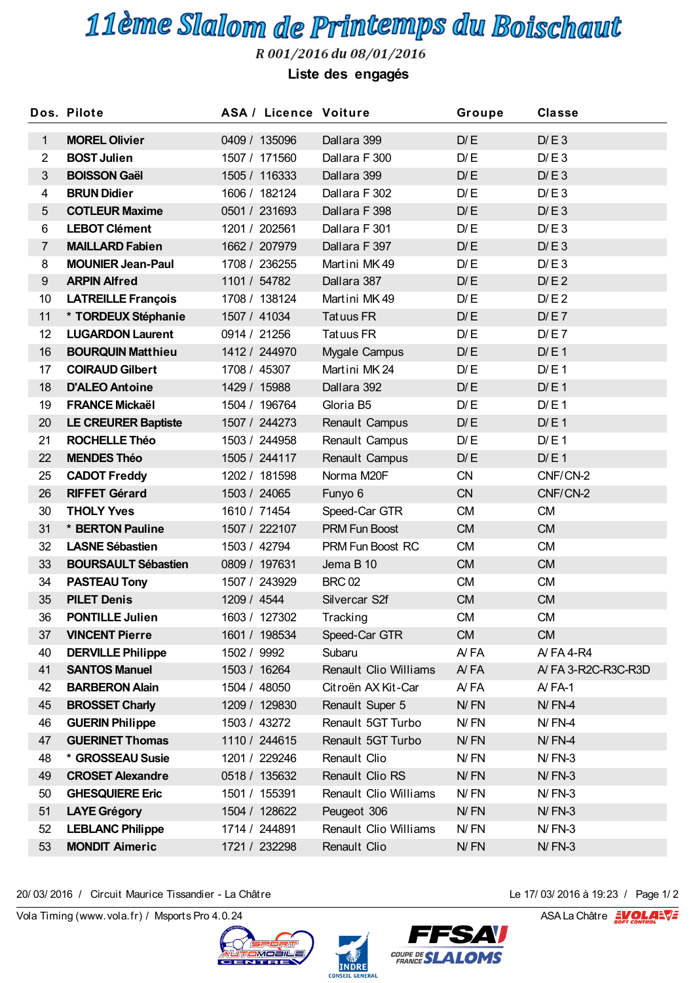## 11ème Slalom de Printemps du Boischaut

R 001/2016 du 08/01/2016

**Liste des engagés**

|                | Dos. Pilote                | <b>ASA / Licence Voiture</b> |                       | Groupe     | <b>Classe</b>      |  |  |
|----------------|----------------------------|------------------------------|-----------------------|------------|--------------------|--|--|
| $\mathbf{1}$   | <b>MOREL Olivier</b>       | 0409 / 135096                | Dallara 399           | D/E        | D/E3               |  |  |
| $\overline{2}$ | <b>BOST Julien</b>         | 1507 / 171560                | Dallara F 300         | D/E        | D/E3               |  |  |
| $\mathfrak{S}$ | <b>BOISSON Gaël</b>        | 1505 / 116333                | Dallara 399           | D/E        | D/E3               |  |  |
| $\overline{4}$ | <b>BRUN Didier</b>         | 1606 / 182124                | Dallara F 302         | D/E        | D/E3               |  |  |
| 5              | <b>COTLEUR Maxime</b>      | 0501 / 231693                | Dallara F 398         | D/E        | D/E3               |  |  |
| 6              | <b>LEBOT Clément</b>       | 1201 / 202561                | Dallara F 301         | D/E        | D/E3               |  |  |
| $\overline{7}$ | <b>MAILLARD Fabien</b>     | 1662 / 207979                | Dallara F 397         | D/E        | D/E3               |  |  |
| 8              | <b>MOUNIER Jean-Paul</b>   | 1708 / 236255                | Martini MK49          | D/E        | D/E3               |  |  |
| 9              | <b>ARPIN Alfred</b>        | 1101 / 54782                 | Dallara 387           | D/E        | D/E2               |  |  |
| 10             | <b>LATREILLE François</b>  | 1708 / 138124                | Martini MK49          | D/E        | D/E2               |  |  |
| 11             | * TORDEUX Stéphanie        | 1507 / 41034                 | Tatuus FR             | D/E        | D/E7               |  |  |
| 12             | <b>LUGARDON Laurent</b>    | 0914 / 21256                 | Tatuus FR             | D/E        | D/E7               |  |  |
| 16             | <b>BOURQUIN Matthieu</b>   | 1412 / 244970                | Mygale Campus         | D/E        | D/E1               |  |  |
| 17             | <b>COIRAUD Gilbert</b>     | 1708 / 45307                 | Martini MK 24         | D/E        | D/E1               |  |  |
| 18             | <b>D'ALEO Antoine</b>      | 1429 / 15988                 | Dallara 392           | D/E        | D/E1               |  |  |
| 19             | <b>FRANCE Mickaël</b>      | 1504 / 196764                | Gloria B5             | D/E        | D/E1               |  |  |
| 20             | <b>LE CREURER Baptiste</b> | 1507 / 244273                | Renault Campus        | D/E        | D/E1               |  |  |
| 21             | <b>ROCHELLE Théo</b>       | 1503 / 244958                | Renault Campus        | D/E        | D/E1               |  |  |
| 22             | <b>MENDES Théo</b>         | 1505 / 244117                | Renault Campus        | D/E        | D/E1               |  |  |
| 25             | <b>CADOT Freddy</b>        | 1202 / 181598                | Norma M20F            | <b>CN</b>  | CNF/CN-2           |  |  |
| 26             | <b>RIFFET Gérard</b>       | 1503 / 24065                 | Funyo 6               | <b>CN</b>  | CNF/CN-2           |  |  |
| 30             | <b>THOLY Yves</b>          | 1610 / 71454                 | Speed-Car GTR         | <b>CM</b>  | <b>CM</b>          |  |  |
| 31             | * BERTON Pauline           | 1507 / 222107                | <b>PRM Fun Boost</b>  | <b>CM</b>  | <b>CM</b>          |  |  |
| 32             | <b>LASNE Sébastien</b>     | 1503 / 42794                 | PRM Fun Boost RC      | <b>CM</b>  | <b>CM</b>          |  |  |
| 33             | <b>BOURSAULT Sébastien</b> | 0809 / 197631                | Jema B 10             | <b>CM</b>  | <b>CM</b>          |  |  |
| 34             | <b>PASTEAU Tony</b>        | 1507 / 243929                | <b>BRC 02</b>         | <b>CM</b>  | <b>CM</b>          |  |  |
| 35             | <b>PILET Denis</b>         | 1209 / 4544                  | Silvercar S2f         | <b>CM</b>  | <b>CM</b>          |  |  |
| 36             | <b>PONTILLE Julien</b>     | 1603 / 127302                | Tracking              | <b>CM</b>  | <b>CM</b>          |  |  |
| 37             | <b>VINCENT Pierre</b>      | 1601 / 198534                | Speed-Car GTR         | <b>CM</b>  | <b>CM</b>          |  |  |
| 40             | <b>DERVILLE Philippe</b>   | 1502 / 9992                  | Subaru                | A/FA       | A/FA4-R4           |  |  |
| 41             | <b>SANTOS Manuel</b>       | 1503 / 16264                 | Renault Clio Williams | A/FA       | A/FA 3-R2C-R3C-R3D |  |  |
| 42             | <b>BARBERON Alain</b>      | 1504 / 48050                 | Citroën AX Kit-Car    | A/FA       | $AYFA-1$           |  |  |
| 45             | <b>BROSSET Charly</b>      | 1209 / 129830                | Renault Super 5       | N/FN       | $N$ / $FN-4$       |  |  |
| 46             | <b>GUERIN Philippe</b>     | 1503 / 43272                 | Renault 5GT Turbo     | N/FN       | $N$ / $FN-4$       |  |  |
| 47             | <b>GUERINET Thomas</b>     | 1110 / 244615                | Renault 5GT Turbo     | N/FN       | $N$ / $FN-4$       |  |  |
| 48             | * GROSSEAU Susie           | 1201 / 229246                | Renault Clio          | N/FN       | $N$ / $FN-3$       |  |  |
| 49             | <b>CROSET Alexandre</b>    | 0518 / 135632                | Renault Clio RS       | $N$ / $FN$ | $N$ / $FN-3$       |  |  |
| 50             | <b>GHESQUIERE Eric</b>     | 1501 / 155391                | Renault Clio Williams | N/FN       | $N$ / $FN-3$       |  |  |
| 51             | <b>LAYE Grégory</b>        | 1504 / 128622                | Peugeot 306           | N/FN       | $N$ / $FN-3$       |  |  |
| 52             | <b>LEBLANC Philippe</b>    | 1714 / 244891                | Renault Clio Williams | N/FN       | $N$ / $FN-3$       |  |  |
| 53             | <b>MONDIT Aimeric</b>      | 1721 / 232298                | Renault Clio          | N/FN       | $N$ / $FN-3$       |  |  |

20/ 03/ 2016 / Circuit Maurice Tissandier - La Châtre<br>
Vola Timing (www.vola.fr) / Msports Pro 4.0.24 ASA La Châtre **EVOLANT** 20/ 03/ 2016 / Circuit Maurice Tissandier - La Châtre Le 17/ 03/ 2016 à 19:23 / Page 1/ 2